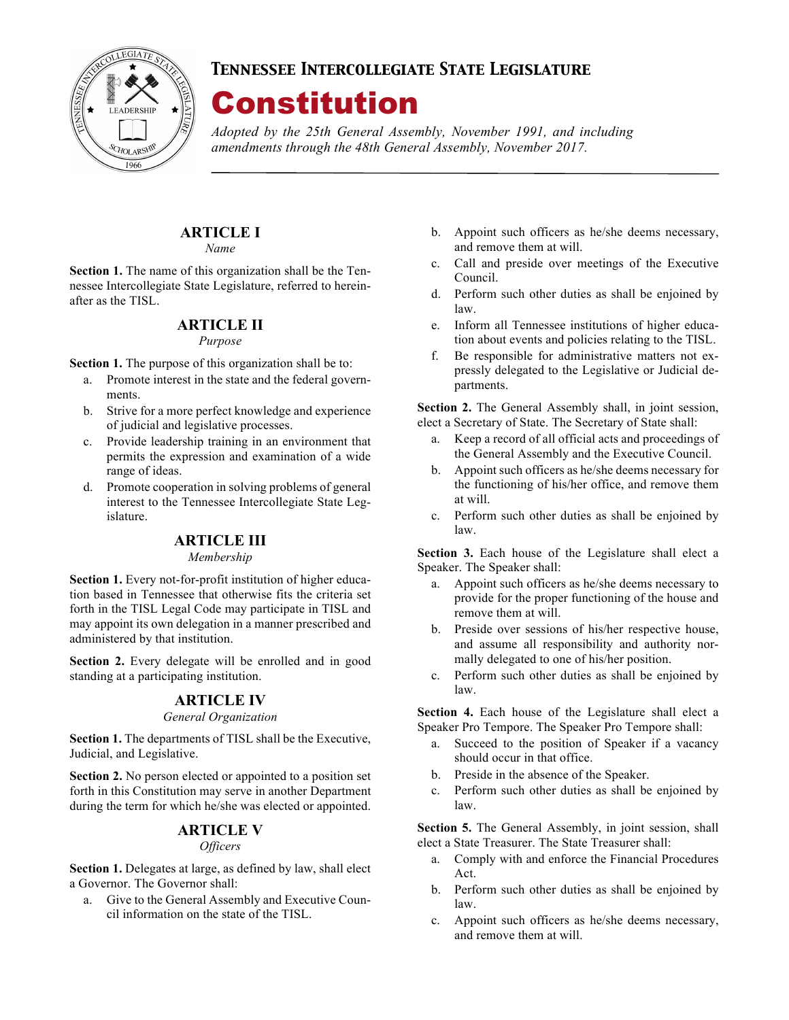

## *Tennessee Intercollegiate State Legislature*

# Constitution

*Adopted by the 25th General Assembly, November 1991, and including amendments through the 48th General Assembly, November 2017.*

# **ARTICLE I**

*Name*

**Section 1.** The name of this organization shall be the Tennessee Intercollegiate State Legislature, referred to hereinafter as the TISL.

## **ARTICLE II**

#### *Purpose*

**Section 1.** The purpose of this organization shall be to:

- a. Promote interest in the state and the federal governments.
- b. Strive for a more perfect knowledge and experience of judicial and legislative processes.
- c. Provide leadership training in an environment that permits the expression and examination of a wide range of ideas.
- d. Promote cooperation in solving problems of general interest to the Tennessee Intercollegiate State Legislature.

## **ARTICLE III**

#### *Membership*

**Section 1.** Every not-for-profit institution of higher education based in Tennessee that otherwise fits the criteria set forth in the TISL Legal Code may participate in TISL and may appoint its own delegation in a manner prescribed and administered by that institution.

**Section 2.** Every delegate will be enrolled and in good standing at a participating institution.

## **ARTICLE IV**

#### *General Organization*

**Section 1.** The departments of TISL shall be the Executive, Judicial, and Legislative.

**Section 2.** No person elected or appointed to a position set forth in this Constitution may serve in another Department during the term for which he/she was elected or appointed.

## **ARTICLE V**

#### *Officers*

**Section 1.** Delegates at large, as defined by law, shall elect a Governor. The Governor shall:

a. Give to the General Assembly and Executive Council information on the state of the TISL.

- b. Appoint such officers as he/she deems necessary, and remove them at will.
- c. Call and preside over meetings of the Executive Council.
- d. Perform such other duties as shall be enjoined by law.
- e. Inform all Tennessee institutions of higher education about events and policies relating to the TISL.
- f. Be responsible for administrative matters not expressly delegated to the Legislative or Judicial departments.

**Section 2.** The General Assembly shall, in joint session, elect a Secretary of State. The Secretary of State shall:

- a. Keep a record of all official acts and proceedings of the General Assembly and the Executive Council.
- b. Appoint such officers as he/she deems necessary for the functioning of his/her office, and remove them at will.
- c. Perform such other duties as shall be enjoined by law.

**Section 3.** Each house of the Legislature shall elect a Speaker. The Speaker shall:

- a. Appoint such officers as he/she deems necessary to provide for the proper functioning of the house and remove them at will.
- b. Preside over sessions of his/her respective house, and assume all responsibility and authority normally delegated to one of his/her position.
- c. Perform such other duties as shall be enjoined by law.

**Section 4.** Each house of the Legislature shall elect a Speaker Pro Tempore. The Speaker Pro Tempore shall:

- a. Succeed to the position of Speaker if a vacancy should occur in that office.
- b. Preside in the absence of the Speaker.
- c. Perform such other duties as shall be enjoined by law.

**Section 5.** The General Assembly, in joint session, shall elect a State Treasurer. The State Treasurer shall:

- a. Comply with and enforce the Financial Procedures Act.
- b. Perform such other duties as shall be enjoined by law.
- c. Appoint such officers as he/she deems necessary, and remove them at will.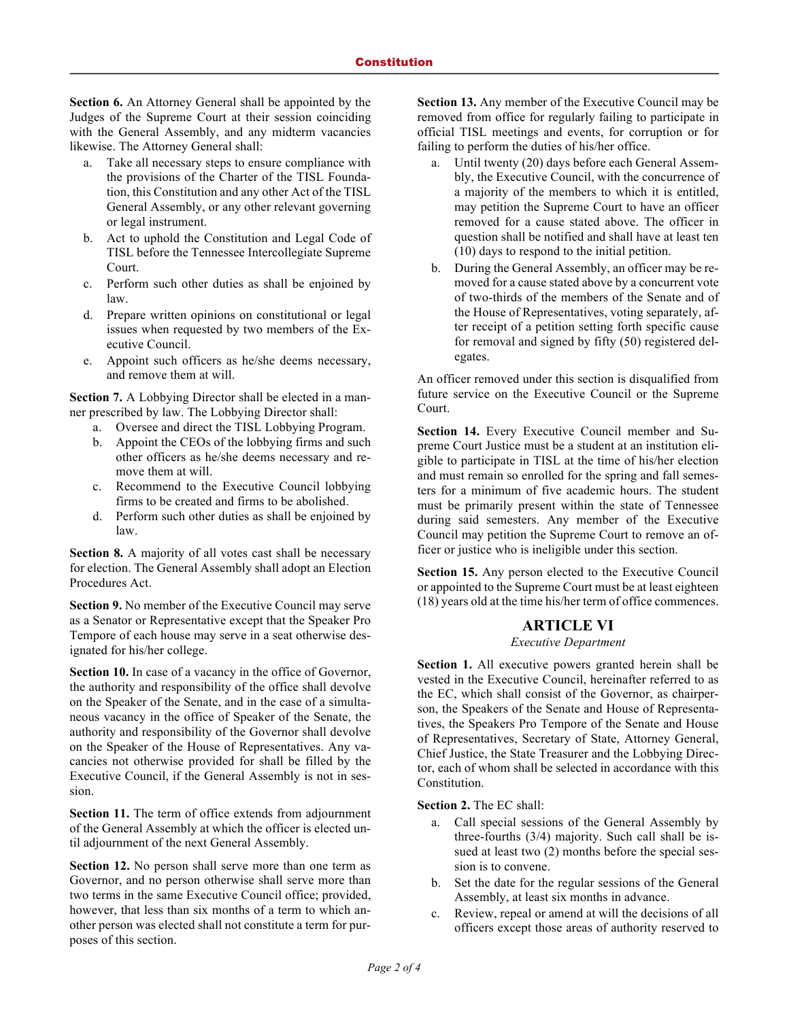**Section 6.** An Attorney General shall be appointed by the Judges of the Supreme Court at their session coinciding with the General Assembly, and any midterm vacancies likewise. The Attorney General shall:

- a. Take all necessary steps to ensure compliance with the provisions of the Charter of the TISL Foundation, this Constitution and any other Act of the TISL General Assembly, or any other relevant governing or legal instrument.
- b. Act to uphold the Constitution and Legal Code of TISL before the Tennessee Intercollegiate Supreme Court.
- c. Perform such other duties as shall be enjoined by law.
- d. Prepare written opinions on constitutional or legal issues when requested by two members of the Executive Council.
- e. Appoint such officers as he/she deems necessary, and remove them at will.

**Section 7.** A Lobbying Director shall be elected in a manner prescribed by law. The Lobbying Director shall:

- a. Oversee and direct the TISL Lobbying Program.
- b. Appoint the CEOs of the lobbying firms and such other officers as he/she deems necessary and remove them at will.
- c. Recommend to the Executive Council lobbying firms to be created and firms to be abolished.
- d. Perform such other duties as shall be enjoined by law.

**Section 8.** A majority of all votes cast shall be necessary for election. The General Assembly shall adopt an Election Procedures Act.

**Section 9.** No member of the Executive Council may serve as a Senator or Representative except that the Speaker Pro Tempore of each house may serve in a seat otherwise designated for his/her college.

**Section 10.** In case of a vacancy in the office of Governor, the authority and responsibility of the office shall devolve on the Speaker of the Senate, and in the case of a simultaneous vacancy in the office of Speaker of the Senate, the authority and responsibility of the Governor shall devolve on the Speaker of the House of Representatives. Any vacancies not otherwise provided for shall be filled by the Executive Council, if the General Assembly is not in session.

**Section 11.** The term of office extends from adjournment of the General Assembly at which the officer is elected until adjournment of the next General Assembly.

**Section 12.** No person shall serve more than one term as Governor, and no person otherwise shall serve more than two terms in the same Executive Council office; provided, however, that less than six months of a term to which another person was elected shall not constitute a term for purposes of this section.

**Section 13.** Any member of the Executive Council may be removed from office for regularly failing to participate in official TISL meetings and events, for corruption or for failing to perform the duties of his/her office.

- a. Until twenty (20) days before each General Assembly, the Executive Council, with the concurrence of a majority of the members to which it is entitled, may petition the Supreme Court to have an officer removed for a cause stated above. The officer in question shall be notified and shall have at least ten (10) days to respond to the initial petition.
- b. During the General Assembly, an officer may be removed for a cause stated above by a concurrent vote of two-thirds of the members of the Senate and of the House of Representatives, voting separately, after receipt of a petition setting forth specific cause for removal and signed by fifty (50) registered delegates.

An officer removed under this section is disqualified from future service on the Executive Council or the Supreme Court.

**Section 14.** Every Executive Council member and Supreme Court Justice must be a student at an institution eligible to participate in TISL at the time of his/her election and must remain so enrolled for the spring and fall semesters for a minimum of five academic hours. The student must be primarily present within the state of Tennessee during said semesters. Any member of the Executive Council may petition the Supreme Court to remove an officer or justice who is ineligible under this section.

**Section 15.** Any person elected to the Executive Council or appointed to the Supreme Court must be at least eighteen (18) years old at the time his/her term of office commences.

#### **ARTICLE VI**

#### *Executive Department*

**Section 1.** All executive powers granted herein shall be vested in the Executive Council, hereinafter referred to as the EC, which shall consist of the Governor, as chairperson, the Speakers of the Senate and House of Representatives, the Speakers Pro Tempore of the Senate and House of Representatives, Secretary of State, Attorney General, Chief Justice, the State Treasurer and the Lobbying Director, each of whom shall be selected in accordance with this Constitution.

**Section 2.** The EC shall:

- a. Call special sessions of the General Assembly by three-fourths (3/4) majority. Such call shall be issued at least two (2) months before the special session is to convene.
- b. Set the date for the regular sessions of the General Assembly, at least six months in advance.
- c. Review, repeal or amend at will the decisions of all officers except those areas of authority reserved to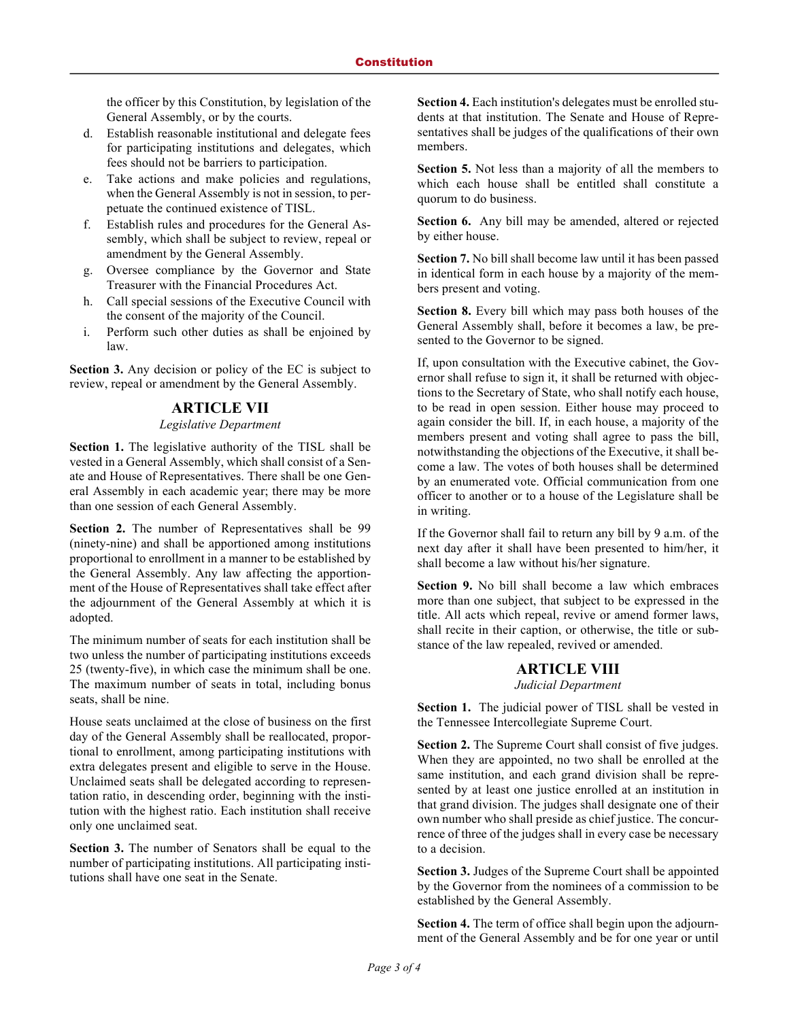the officer by this Constitution, by legislation of the General Assembly, or by the courts.

- d. Establish reasonable institutional and delegate fees for participating institutions and delegates, which fees should not be barriers to participation.
- e. Take actions and make policies and regulations, when the General Assembly is not in session, to perpetuate the continued existence of TISL.
- f. Establish rules and procedures for the General Assembly, which shall be subject to review, repeal or amendment by the General Assembly.
- g. Oversee compliance by the Governor and State Treasurer with the Financial Procedures Act.
- h. Call special sessions of the Executive Council with the consent of the majority of the Council.
- i. Perform such other duties as shall be enjoined by law.

**Section 3.** Any decision or policy of the EC is subject to review, repeal or amendment by the General Assembly.

#### **ARTICLE VII**

#### *Legislative Department*

**Section 1.** The legislative authority of the TISL shall be vested in a General Assembly, which shall consist of a Senate and House of Representatives. There shall be one General Assembly in each academic year; there may be more than one session of each General Assembly.

**Section 2.** The number of Representatives shall be 99 (ninety-nine) and shall be apportioned among institutions proportional to enrollment in a manner to be established by the General Assembly. Any law affecting the apportionment of the House of Representatives shall take effect after the adjournment of the General Assembly at which it is adopted.

The minimum number of seats for each institution shall be two unless the number of participating institutions exceeds 25 (twenty-five), in which case the minimum shall be one. The maximum number of seats in total, including bonus seats, shall be nine.

House seats unclaimed at the close of business on the first day of the General Assembly shall be reallocated, proportional to enrollment, among participating institutions with extra delegates present and eligible to serve in the House. Unclaimed seats shall be delegated according to representation ratio, in descending order, beginning with the institution with the highest ratio. Each institution shall receive only one unclaimed seat.

**Section 3.** The number of Senators shall be equal to the number of participating institutions. All participating institutions shall have one seat in the Senate.

**Section 4.** Each institution's delegates must be enrolled students at that institution. The Senate and House of Representatives shall be judges of the qualifications of their own members.

**Section 5.** Not less than a majority of all the members to which each house shall be entitled shall constitute a quorum to do business.

**Section 6.** Any bill may be amended, altered or rejected by either house.

**Section 7.** No bill shall become law until it has been passed in identical form in each house by a majority of the members present and voting.

**Section 8.** Every bill which may pass both houses of the General Assembly shall, before it becomes a law, be presented to the Governor to be signed.

If, upon consultation with the Executive cabinet, the Governor shall refuse to sign it, it shall be returned with objections to the Secretary of State, who shall notify each house, to be read in open session. Either house may proceed to again consider the bill. If, in each house, a majority of the members present and voting shall agree to pass the bill, notwithstanding the objections of the Executive, it shall become a law. The votes of both houses shall be determined by an enumerated vote. Official communication from one officer to another or to a house of the Legislature shall be in writing.

If the Governor shall fail to return any bill by 9 a.m. of the next day after it shall have been presented to him/her, it shall become a law without his/her signature.

**Section 9.** No bill shall become a law which embraces more than one subject, that subject to be expressed in the title. All acts which repeal, revive or amend former laws, shall recite in their caption, or otherwise, the title or substance of the law repealed, revived or amended.

#### **ARTICLE VIII**

*Judicial Department*

**Section 1.** The judicial power of TISL shall be vested in the Tennessee Intercollegiate Supreme Court.

**Section 2.** The Supreme Court shall consist of five judges. When they are appointed, no two shall be enrolled at the same institution, and each grand division shall be represented by at least one justice enrolled at an institution in that grand division. The judges shall designate one of their own number who shall preside as chief justice. The concurrence of three of the judges shall in every case be necessary to a decision.

**Section 3.** Judges of the Supreme Court shall be appointed by the Governor from the nominees of a commission to be established by the General Assembly.

**Section 4.** The term of office shall begin upon the adjournment of the General Assembly and be for one year or until